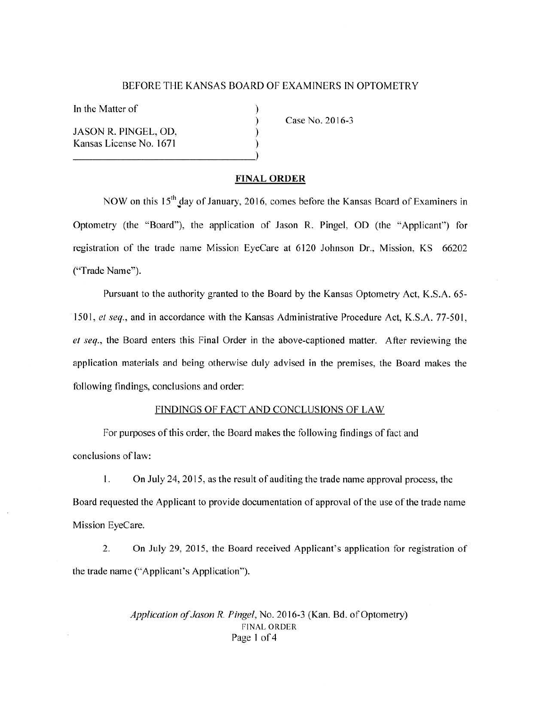#### BEFORE THE KANSAS BOARD OF EXAMINERS IN OPTOMETRY

) ) ) )

In the Matter of

JASON R. PINGEL, OD, Kansas License No. 1671 (1944) Case No. 2016-3

#### **FINAL ORDER**

NOW on this  $15<sup>th</sup>$  day of January, 2016, comes before the Kansas Board of Examiners in Optometry (the "Board"), the application of Jason R. Pingel, OD (the "Applicant") for registration of the trade name Mission EyeCare at 6120 Johnson Dr., Mission, KS 66202 ("Trade Name").

Pursuant to the authority granted to the Board by the Kansas Optometry Act, K.S.A. 65- 1501, *et seq.,* and in accordance with the Kansas Administrative Procedure Act, K.S.A. 77-501, *el seq.,* the Board enters this Final Order in the above-captioned matter. After reviewing the application materials and being otherwise duly advised in the premises, the Board makes the following findings, conclusions and order:

## FINDINGS OF FACT AND CONCLUSIONS OF LAW

For purposes of this order, the Board makes the following findings of fact and conclusions of law:

I. On July 24, 2015, as the result of auditing the trade name approval process, the Board requested the Applicant to provide documentation of approval of the use of the trade name Mission EyeCare.

2. On July 29, 2015, the Board received Applicant's application for registration of the trade name ("Applicant's Application").

> *Application of Jason R. Pingel,* No. 2016-3 (Kan. Bd. of Optometry) FINAL ORDER Page I of 4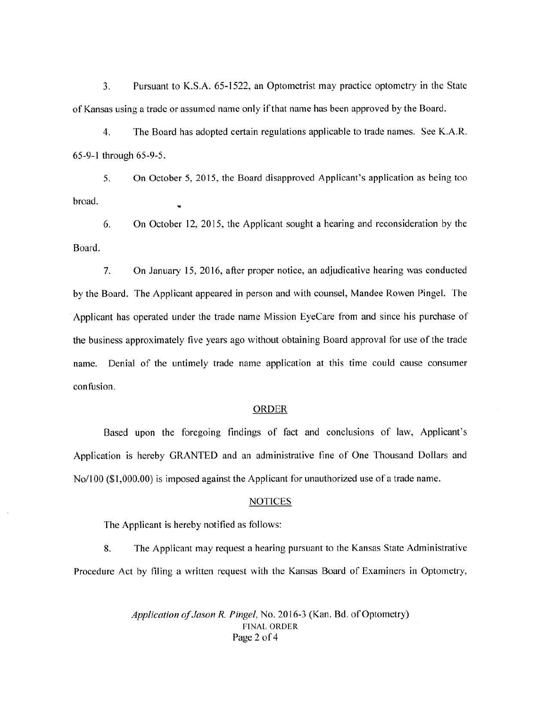3. Pursuant to K.S.A. 65-1522, an Optometrist may practice optometry in the State of Kansas using a trade or assumed name only if that name has been approved by the Board.

4. The Board has adopted certain regulations applicable to trade names. See K.A.R. 65-9-1 through 65-9-5.

5. On October 5, 2015, the Board disapproved Applicant's application as being too broad.

6. On October 12, 2015, the Applicant sought a hearing and reconsideration by the Board.

7. On January 15, 20 16, after proper notice, an adjudicative hearing was conducted by the Board. The Applicant appeared in person and with counsel, Mandee Rowen Pingel. The Applicant has operated under the trade name Mission EyeCare from and since his purchase of the business approximately five years ago without obtaining Board approval for use of the trade name. Denial of the untimely trade name application at this time could cause consumer confusion.

## ORDER

Based upon the foregoing findings of fact and conclusions of law, Applicant's Application is hereby GRANTED and an administrative fine of One Thousand Dollars and No/100 (\$1,000.00) is imposed against the Applicant for unauthorized use of a trade name.

#### **NOTICES**

The Applicant is hereby notified as follows:

8. The Applicant may request a hearing pursuant to the Kansas State Administrative Procedure Act by filing a written request with the Kansas Board of Examiners in Optometry,

> *Application of Jason R. Pingel,* No. 20 16-3 (Kan. Bd. of Optometry) FINAL ORDER Page 2 of 4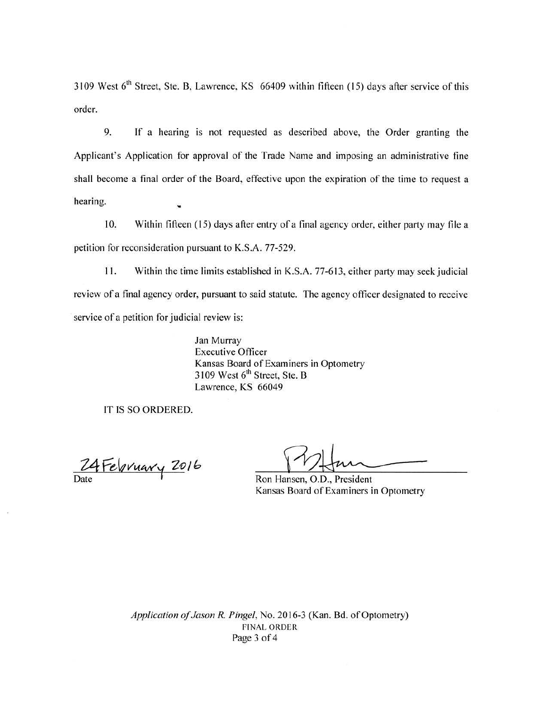3109 West  $6<sup>th</sup>$  Street, Ste. B, Lawrence, KS 66409 within fifteen (15) days after service of this order.

9. If a hearing is not requested as described above, the Order granting the Applicant's Application for approval of the Trade Name and imposing an administrative fine shall become a final order of the Board, effective upon the expiration of the time to request a hearing.

10. Within fifteen ( 15) days after entry of a final agency order, either party may file a petition for reconsideration pursuant to K.S.A. 77-529.

11. Within the time limits established in K.S.A. 77-613, either party may seek judicial review of a final agency order, pursuant to said statute. The agency officer designated to receive service of a petition for judicial review is:

> Jan Murray Executive Officer Kansas Board of Examiners in Optometry  $3109$  West  $6<sup>th</sup>$  Street, Ste. B Lawrence, KS 66049

IT IS SO ORDERED.

24 February 2016

Ron Hansen, O.D., President Kansas Board of Examiners in Optometry

*Application of Jason R. Pingel,* No. 2016-3 (Kan. Bd. of Optometry) FINAL ORDER Page 3 of 4